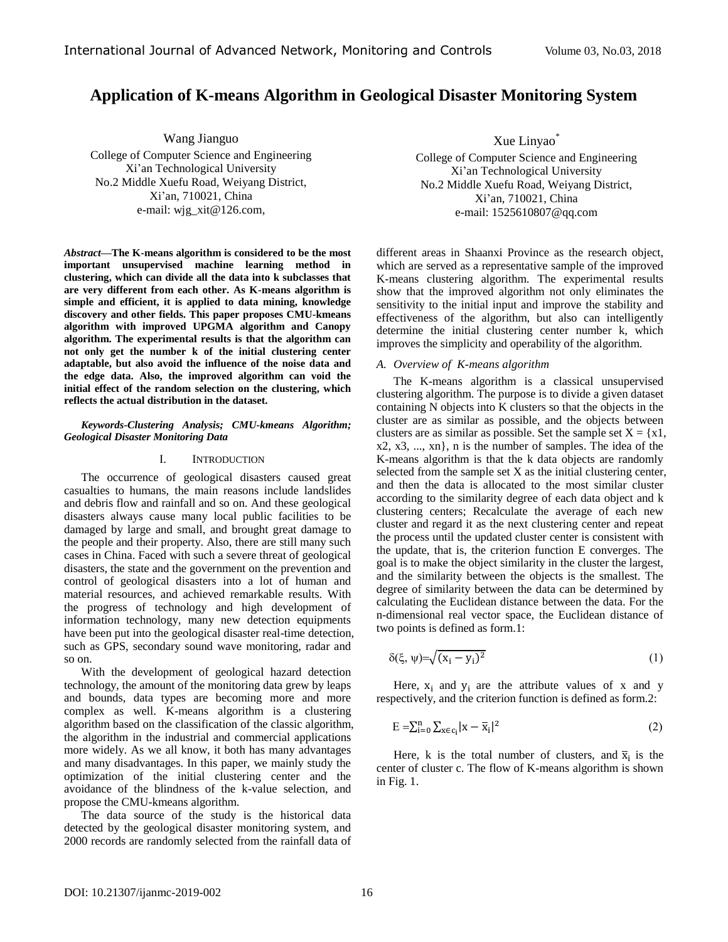# **Application of K-means Algorithm in Geological Disaster Monitoring System**

Wang Jianguo

College of Computer Science and Engineering Xi'an Technological University No.2 Middle Xuefu Road, Weiyang District, Xi'an, 710021, China e-mail: wjg\_xit@126.com,

*Abstract—***The K-means algorithm is considered to be the most important unsupervised machine learning method in clustering, which can divide all the data into k subclasses that are very different from each other. As K-means algorithm is simple and efficient, it is applied to data mining, knowledge discovery and other fields. This paper proposes CMU-kmeans algorithm with improved UPGMA algorithm and Canopy algorithm. The experimental results is that the algorithm can not only get the number k of the initial clustering center adaptable, but also avoid the influence of the noise data and the edge data. Also, the improved algorithm can void the initial effect of the random selection on the clustering, which reflects the actual distribution in the dataset.**

## *Keywords-Clustering Analysis; CMU-kmeans Algorithm; Geological Disaster Monitoring Data*

# I. INTRODUCTION

The occurrence of geological disasters caused great casualties to humans, the main reasons include landslides and debris flow and rainfall and so on. And these geological disasters always cause many local public facilities to be damaged by large and small, and brought great damage to the people and their property. Also, there are still many such cases in China. Faced with such a severe threat of geological disasters, the state and the government on the prevention and control of geological disasters into a lot of human and material resources, and achieved remarkable results. With the progress of technology and high development of information technology, many new detection equipments have been put into the geological disaster real-time detection, such as GPS, secondary sound wave monitoring, radar and so on.

With the development of geological hazard detection technology, the amount of the monitoring data grew by leaps and bounds, data types are becoming more and more complex as well. K-means algorithm is a clustering algorithm based on the classification of the classic algorithm, the algorithm in the industrial and commercial applications more widely. As we all know, it both has many advantages and many disadvantages. In this paper, we mainly study the optimization of the initial clustering center and the avoidance of the blindness of the k-value selection, and propose the CMU-kmeans algorithm.

The data source of the study is the historical data detected by the geological disaster monitoring system, and 2000 records are randomly selected from the rainfall data of

Xue Linyao\* College of Computer Science and Engineering Xi'an Technological University No.2 Middle Xuefu Road, Weiyang District, Xi'an, 710021, China e-mail: 1525610807@qq.com

different areas in Shaanxi Province as the research object, which are served as a representative sample of the improved K-means clustering algorithm. The experimental results show that the improved algorithm not only eliminates the sensitivity to the initial input and improve the stability and effectiveness of the algorithm, but also can intelligently determine the initial clustering center number k, which improves the simplicity and operability of the algorithm.

## *A. Overview of K-means algorithm*

The K-means algorithm is a classical unsupervised clustering algorithm. The purpose is to divide a given dataset containing N objects into K clusters so that the objects in the cluster are as similar as possible, and the objects between clusters are as similar as possible. Set the sample set  $X = \{x1,$ x2, x3, ..., xn}, n is the number of samples. The idea of the K-means algorithm is that the k data objects are randomly selected from the sample set X as the initial clustering center, and then the data is allocated to the most similar cluster according to the similarity degree of each data object and k clustering centers; Recalculate the average of each new cluster and regard it as the next clustering center and repeat the process until the updated cluster center is consistent with the update, that is, the criterion function E converges. The goal is to make the object similarity in the cluster the largest, and the similarity between the objects is the smallest. The degree of similarity between the data can be determined by calculating the Euclidean distance between the data. For the n-dimensional real vector space, the Euclidean distance of two points is defined as form.1:

$$
\delta(\xi, \psi) = \sqrt{(x_i - y_i)^2} \tag{1}
$$

Here,  $x_i$  and  $y_i$  are the attribute values of x and y respectively, and the criterion function is defined as form.2:

$$
E = \sum_{i=0}^{n} \sum_{x \in c_i} |x - \overline{x}_i|^2
$$
 (2)

Here, k is the total number of clusters, and  $\bar{x}_i$  is the center of cluster c. The flow of K-means algorithm is shown in Fig. 1.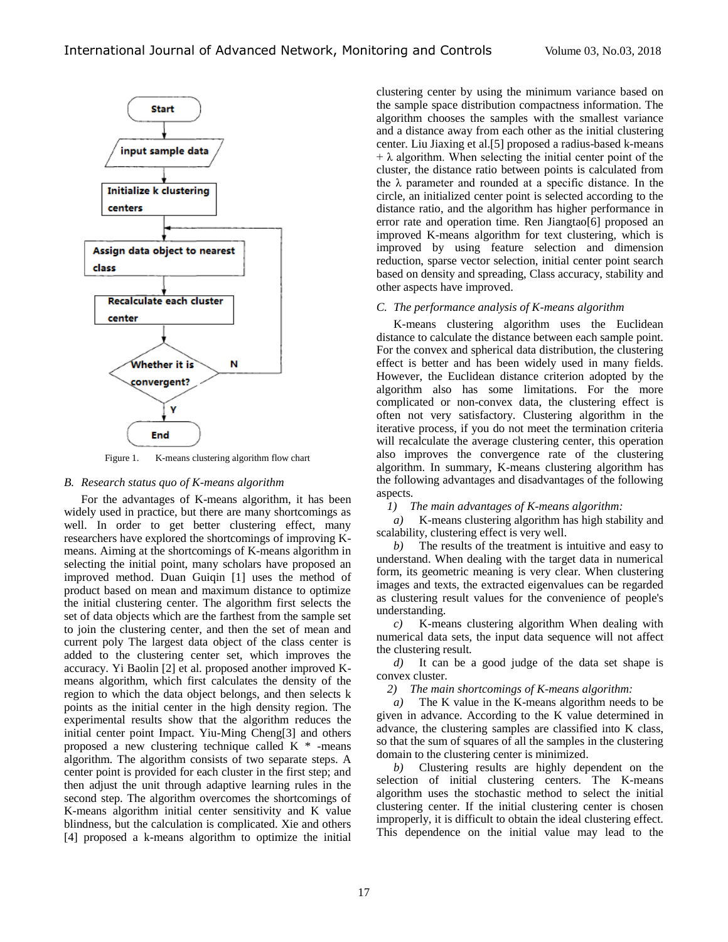

Figure 1. K-means clustering algorithm flow chart

### *B. Research status quo of K-means algorithm*

For the advantages of K-means algorithm, it has been widely used in practice, but there are many shortcomings as well. In order to get better clustering effect, many researchers have explored the shortcomings of improving Kmeans. Aiming at the shortcomings of K-means algorithm in selecting the initial point, many scholars have proposed an improved method. Duan Guiqin [1] uses the method of product based on mean and maximum distance to optimize the initial clustering center. The algorithm first selects the set of data objects which are the farthest from the sample set to join the clustering center, and then the set of mean and current poly The largest data object of the class center is added to the clustering center set, which improves the accuracy. Yi Baolin [2] et al. proposed another improved Kmeans algorithm, which first calculates the density of the region to which the data object belongs, and then selects k points as the initial center in the high density region. The experimental results show that the algorithm reduces the initial center point Impact. Yiu-Ming Cheng[3] and others proposed a new clustering technique called K \* -means algorithm. The algorithm consists of two separate steps. A center point is provided for each cluster in the first step; and then adjust the unit through adaptive learning rules in the second step. The algorithm overcomes the shortcomings of K-means algorithm initial center sensitivity and K value blindness, but the calculation is complicated. Xie and others [4] proposed a k-means algorithm to optimize the initial

clustering center by using the minimum variance based on the sample space distribution compactness information. The algorithm chooses the samples with the smallest variance and a distance away from each other as the initial clustering center. Liu Jiaxing et al.[5] proposed a radius-based k-means  $+ \lambda$  algorithm. When selecting the initial center point of the cluster, the distance ratio between points is calculated from the  $\lambda$  parameter and rounded at a specific distance. In the circle, an initialized center point is selected according to the distance ratio, and the algorithm has higher performance in error rate and operation time. Ren Jiangtao[6] proposed an improved K-means algorithm for text clustering, which is improved by using feature selection and dimension reduction, sparse vector selection, initial center point search based on density and spreading, Class accuracy, stability and other aspects have improved.

### *C. The performance analysis of K-means algorithm*

K-means clustering algorithm uses the Euclidean distance to calculate the distance between each sample point. For the convex and spherical data distribution, the clustering effect is better and has been widely used in many fields. However, the Euclidean distance criterion adopted by the algorithm also has some limitations. For the more complicated or non-convex data, the clustering effect is often not very satisfactory. Clustering algorithm in the iterative process, if you do not meet the termination criteria will recalculate the average clustering center, this operation also improves the convergence rate of the clustering algorithm. In summary, K-means clustering algorithm has the following advantages and disadvantages of the following aspects.

*1) The main advantages of K-means algorithm:*

*a)* K-means clustering algorithm has high stability and scalability, clustering effect is very well.

*b)* The results of the treatment is intuitive and easy to understand. When dealing with the target data in numerical form, its geometric meaning is very clear. When clustering images and texts, the extracted eigenvalues can be regarded as clustering result values for the convenience of people's understanding.

*c)* K-means clustering algorithm When dealing with numerical data sets, the input data sequence will not affect the clustering result.

*d)* It can be a good judge of the data set shape is convex cluster.

*2) The main shortcomings of K-means algorithm:*

*a)* The K value in the K-means algorithm needs to be given in advance. According to the K value determined in advance, the clustering samples are classified into K class, so that the sum of squares of all the samples in the clustering domain to the clustering center is minimized.

*b)* Clustering results are highly dependent on the selection of initial clustering centers. The K-means algorithm uses the stochastic method to select the initial clustering center. If the initial clustering center is chosen improperly, it is difficult to obtain the ideal clustering effect. This dependence on the initial value may lead to the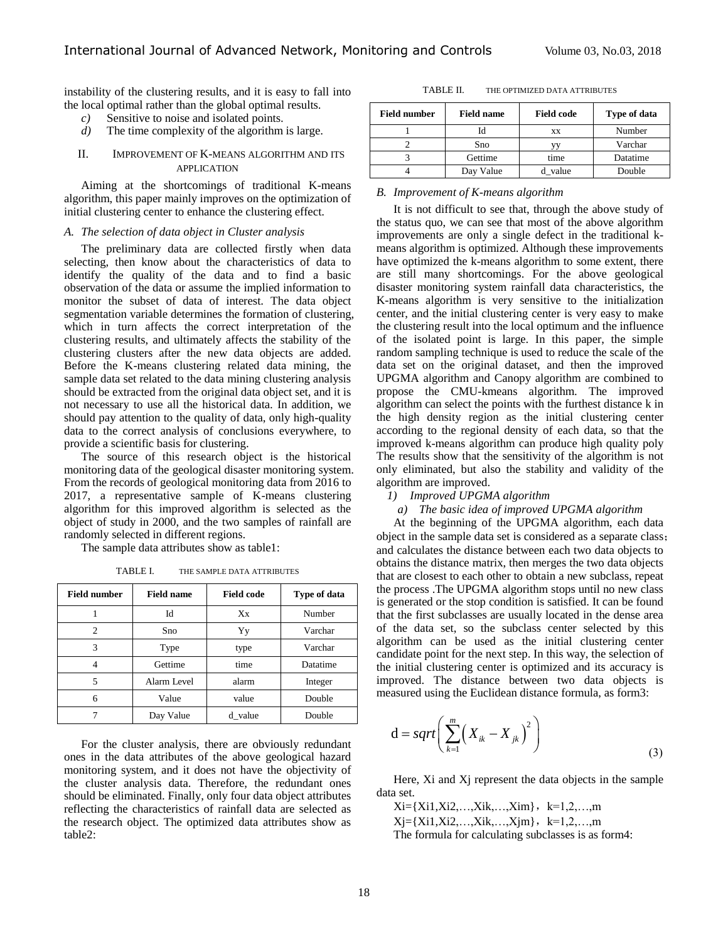instability of the clustering results, and it is easy to fall into the local optimal rather than the global optimal results.

- *c)* Sensitive to noise and isolated points.
- *d*) The time complexity of the algorithm is large.

# II. IMPROVEMENT OF K-MEANS ALGORITHM AND ITS APPLICATION

Aiming at the shortcomings of traditional K-means algorithm, this paper mainly improves on the optimization of initial clustering center to enhance the clustering effect.

### *A. The selection of data object in Cluster analysis*

The preliminary data are collected firstly when data selecting, then know about the characteristics of data to identify the quality of the data and to find a basic observation of the data or assume the implied information to monitor the subset of data of interest. The data object segmentation variable determines the formation of clustering, which in turn affects the correct interpretation of the clustering results, and ultimately affects the stability of the clustering clusters after the new data objects are added. Before the K-means clustering related data mining, the sample data set related to the data mining clustering analysis should be extracted from the original data object set, and it is not necessary to use all the historical data. In addition, we should pay attention to the quality of data, only high-quality data to the correct analysis of conclusions everywhere, to provide a scientific basis for clustering.

The source of this research object is the historical monitoring data of the geological disaster monitoring system. From the records of geological monitoring data from 2016 to 2017, a representative sample of  $\overline{K}$ -means clustering algorithm for this improved algorithm is selected as the object of study in 2000, and the two samples of rainfall are randomly selected in different regions.

The sample data attributes show as table1:

| <b>Field number</b> | <b>Field name</b> | <b>Field code</b> | Type of data |  |
|---------------------|-------------------|-------------------|--------------|--|
|                     | Id                | Xx                | Number       |  |
| っ                   | Sno               | Varchar<br>Yy     |              |  |
| 3                   | Type              | type              | Varchar      |  |
|                     | Gettime           | time              | Datatime     |  |
| 5                   | Alarm Level       | alarm<br>Integer  |              |  |
| 6                   | Value             | Double<br>value   |              |  |
|                     | Day Value         | d value           | Double       |  |

TABLE I. THE SAMPLE DATA ATTRIBUTES

For the cluster analysis, there are obviously redundant ones in the data attributes of the above geological hazard monitoring system, and it does not have the objectivity of the cluster analysis data. Therefore, the redundant ones should be eliminated. Finally, only four data object attributes reflecting the characteristics of rainfall data are selected as the research object. The optimized data attributes show as table2:

| <b>Field number</b> | <b>Field name</b> | <b>Field code</b> | Type of data |  |
|---------------------|-------------------|-------------------|--------------|--|
|                     |                   | XX                | Number       |  |
|                     | Sno               |                   | Varchar      |  |
|                     | Gettime           | time              | Datatime     |  |
|                     | Day Value         | d value           | Double       |  |

### *B. Improvement of K-means algorithm*

It is not difficult to see that, through the above study of the status quo, we can see that most of the above algorithm improvements are only a single defect in the traditional kmeans algorithm is optimized. Although these improvements have optimized the k-means algorithm to some extent, there are still many shortcomings. For the above geological disaster monitoring system rainfall data characteristics, the K-means algorithm is very sensitive to the initialization center, and the initial clustering center is very easy to make the clustering result into the local optimum and the influence of the isolated point is large. In this paper, the simple random sampling technique is used to reduce the scale of the data set on the original dataset, and then the improved UPGMA algorithm and Canopy algorithm are combined to propose the CMU-kmeans algorithm. The improved algorithm can select the points with the furthest distance k in the high density region as the initial clustering center according to the regional density of each data, so that the improved k-means algorithm can produce high quality poly The results show that the sensitivity of the algorithm is not only eliminated, but also the stability and validity of the algorithm are improved.

- *1) Improved UPGMA algorithm* 
	- *a) The basic idea of improved UPGMA algorithm*

At the beginning of the UPGMA algorithm, each data object in the sample data set is considered as a separate class; and calculates the distance between each two data objects to obtains the distance matrix, then merges the two data objects that are closest to each other to obtain a new subclass, repeat the process .The UPGMA algorithm stops until no new class is generated or the stop condition is satisfied. It can be found that the first subclasses are usually located in the dense area of the data set, so the subclass center selected by this algorithm can be used as the initial clustering center candidate point for the next step. In this way, the selection of the initial clustering center is optimized and its accuracy is improved. The distance between two data objects is measured using the Euclidean distance formula, as form3:

$$
d = sqrt\left(\sum_{k=1}^{m} \left(X_{ik} - X_{jk}\right)^2\right)
$$
\n(3)

Here, Xi and Xj represent the data objects in the sample data set.

 $Xi=[Xi1,Xi2,...,Xik,...,Xim], k=1,2,...,m$  $Xj = {Xi1,Xi2,...,Xik,...,Xjm}$ ,  $k=1,2,...,m$ The formula for calculating subclasses is as form4: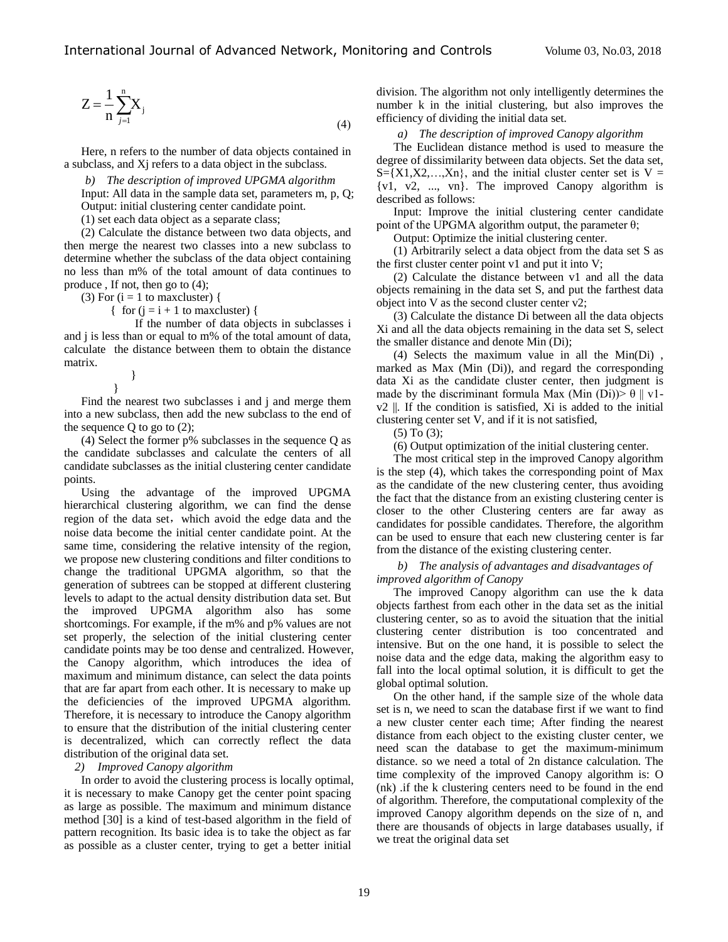$$
Z = \frac{1}{n} \sum_{j=1}^{n} X_j
$$
\n
$$
(4)
$$

Here, n refers to the number of data objects contained in a subclass, and Xj refers to a data object in the subclass.

*b) The description of improved UPGMA algorithm*

Input: All data in the sample data set, parameters m, p, Q; Output: initial clustering center candidate point.

(1) set each data object as a separate class;

(2) Calculate the distance between two data objects, and then merge the nearest two classes into a new subclass to determine whether the subclass of the data object containing no less than m% of the total amount of data continues to produce , If not, then go to (4);

(3) For  $(i = 1$  to maxcluster) {

{ for  $(i = i + 1$  to maxcluster) {

If the number of data objects in subclasses i and j is less than or equal to m% of the total amount of data, calculate the distance between them to obtain the distance matrix.

> } }

Find the nearest two subclasses i and j and merge them into a new subclass, then add the new subclass to the end of the sequence  $Q$  to go to  $(2)$ ;

(4) Select the former p% subclasses in the sequence Q as the candidate subclasses and calculate the centers of all candidate subclasses as the initial clustering center candidate points.

Using the advantage of the improved UPGMA hierarchical clustering algorithm, we can find the dense region of the data set, which avoid the edge data and the noise data become the initial center candidate point. At the same time, considering the relative intensity of the region, we propose new clustering conditions and filter conditions to change the traditional UPGMA algorithm, so that the generation of subtrees can be stopped at different clustering levels to adapt to the actual density distribution data set. But the improved UPGMA algorithm also has some shortcomings. For example, if the m% and p% values are not set properly, the selection of the initial clustering center candidate points may be too dense and centralized. However, the Canopy algorithm, which introduces the idea of maximum and minimum distance, can select the data points that are far apart from each other. It is necessary to make up the deficiencies of the improved UPGMA algorithm. Therefore, it is necessary to introduce the Canopy algorithm to ensure that the distribution of the initial clustering center is decentralized, which can correctly reflect the data distribution of the original data set.

# *2) Improved Canopy algorithm*

In order to avoid the clustering process is locally optimal, it is necessary to make Canopy get the center point spacing as large as possible. The maximum and minimum distance method [30] is a kind of test-based algorithm in the field of pattern recognition. Its basic idea is to take the object as far as possible as a cluster center, trying to get a better initial

division. The algorithm not only intelligently determines the number k in the initial clustering, but also improves the efficiency of dividing the initial data set.

*a) The description of improved Canopy algorithm* 

The Euclidean distance method is used to measure the degree of dissimilarity between data objects. Set the data set,  $S = \{X1, X2, \ldots, Xn\}$ , and the initial cluster center set is  $V =$ {v1, v2, ..., vn}. The improved Canopy algorithm is described as follows:

Input: Improve the initial clustering center candidate point of the UPGMA algorithm output, the parameter θ;

Output: Optimize the initial clustering center.

(1) Arbitrarily select a data object from the data set S as the first cluster center point v1 and put it into V;

(2) Calculate the distance between v1 and all the data objects remaining in the data set S, and put the farthest data object into V as the second cluster center v2;

(3) Calculate the distance Di between all the data objects Xi and all the data objects remaining in the data set S, select the smaller distance and denote Min (Di);

(4) Selects the maximum value in all the Min(Di) , marked as Max (Min (Di)), and regard the corresponding data Xi as the candidate cluster center, then judgment is made by the discriminant formula Max (Min (Di)) $> \theta \parallel v1$ v2 ||. If the condition is satisfied, Xi is added to the initial clustering center set V, and if it is not satisfied,

(5) To (3);

(6) Output optimization of the initial clustering center.

The most critical step in the improved Canopy algorithm is the step (4), which takes the corresponding point of Max as the candidate of the new clustering center, thus avoiding the fact that the distance from an existing clustering center is closer to the other Clustering centers are far away as candidates for possible candidates. Therefore, the algorithm can be used to ensure that each new clustering center is far from the distance of the existing clustering center.

# *b) The analysis of advantages and disadvantages of improved algorithm of Canopy*

The improved Canopy algorithm can use the k data objects farthest from each other in the data set as the initial clustering center, so as to avoid the situation that the initial clustering center distribution is too concentrated and intensive. But on the one hand, it is possible to select the noise data and the edge data, making the algorithm easy to fall into the local optimal solution, it is difficult to get the global optimal solution.

On the other hand, if the sample size of the whole data set is n, we need to scan the database first if we want to find a new cluster center each time; After finding the nearest distance from each object to the existing cluster center, we need scan the database to get the maximum-minimum distance. so we need a total of 2n distance calculation. The time complexity of the improved Canopy algorithm is: O (nk) .if the k clustering centers need to be found in the end of algorithm. Therefore, the computational complexity of the improved Canopy algorithm depends on the size of n, and there are thousands of objects in large databases usually, if we treat the original data set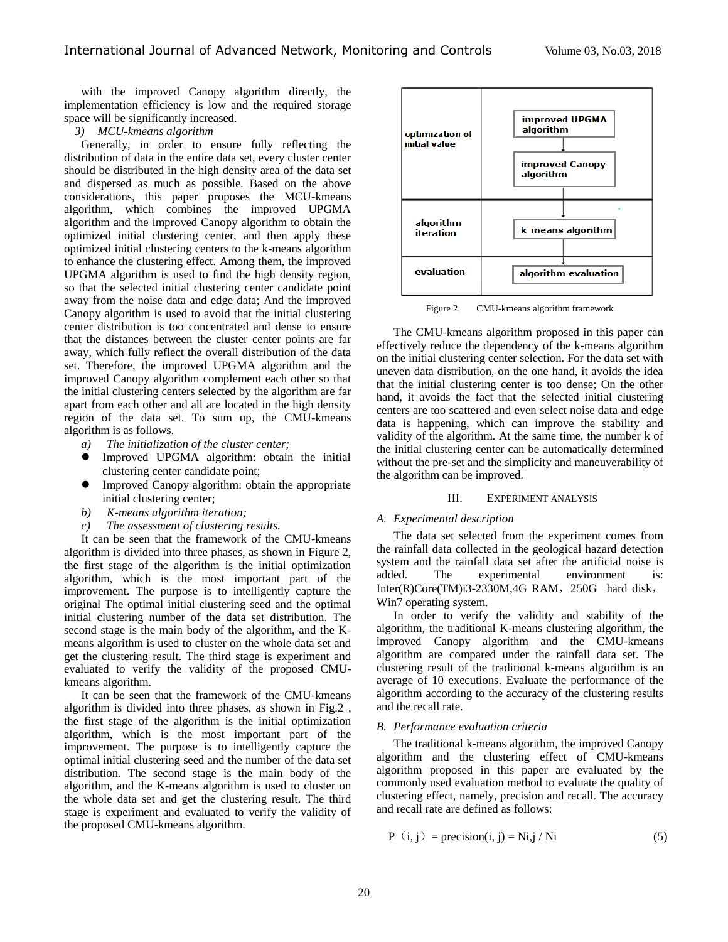with the improved Canopy algorithm directly, the implementation efficiency is low and the required storage space will be significantly increased.

# *3) MCU-kmeans algorithm*

Generally, in order to ensure fully reflecting the distribution of data in the entire data set, every cluster center should be distributed in the high density area of the data set and dispersed as much as possible. Based on the above considerations, this paper proposes the MCU-kmeans algorithm, which combines the improved UPGMA algorithm and the improved Canopy algorithm to obtain the optimized initial clustering center, and then apply these optimized initial clustering centers to the k-means algorithm to enhance the clustering effect. Among them, the improved UPGMA algorithm is used to find the high density region, so that the selected initial clustering center candidate point away from the noise data and edge data; And the improved Canopy algorithm is used to avoid that the initial clustering center distribution is too concentrated and dense to ensure that the distances between the cluster center points are far away, which fully reflect the overall distribution of the data set. Therefore, the improved UPGMA algorithm and the improved Canopy algorithm complement each other so that the initial clustering centers selected by the algorithm are far apart from each other and all are located in the high density region of the data set. To sum up, the CMU-kmeans algorithm is as follows.

- *a) The initialization of the cluster center;*
- Improved UPGMA algorithm: obtain the initial clustering center candidate point;
- Improved Canopy algorithm: obtain the appropriate initial clustering center;
- *b) K-means algorithm iteration;*
- *c) The assessment of clustering results.*

It can be seen that the framework of the CMU-kmeans algorithm is divided into three phases, as shown in Figure 2, the first stage of the algorithm is the initial optimization algorithm, which is the most important part of the improvement. The purpose is to intelligently capture the original The optimal initial clustering seed and the optimal initial clustering number of the data set distribution. The second stage is the main body of the algorithm, and the Kmeans algorithm is used to cluster on the whole data set and get the clustering result. The third stage is experiment and evaluated to verify the validity of the proposed CMUkmeans algorithm.

It can be seen that the framework of the CMU-kmeans algorithm is divided into three phases, as shown in Fig.2 , the first stage of the algorithm is the initial optimization algorithm, which is the most important part of the improvement. The purpose is to intelligently capture the optimal initial clustering seed and the number of the data set distribution. The second stage is the main body of the algorithm, and the K-means algorithm is used to cluster on the whole data set and get the clustering result. The third stage is experiment and evaluated to verify the validity of the proposed CMU-kmeans algorithm.



Figure 2. CMU-kmeans algorithm framework

The CMU-kmeans algorithm proposed in this paper can effectively reduce the dependency of the k-means algorithm on the initial clustering center selection. For the data set with uneven data distribution, on the one hand, it avoids the idea that the initial clustering center is too dense; On the other hand, it avoids the fact that the selected initial clustering centers are too scattered and even select noise data and edge data is happening, which can improve the stability and validity of the algorithm. At the same time, the number k of the initial clustering center can be automatically determined without the pre-set and the simplicity and maneuverability of the algorithm can be improved.

### III. EXPERIMENT ANALYSIS

# *A. Experimental description*

The data set selected from the experiment comes from the rainfall data collected in the geological hazard detection system and the rainfall data set after the artificial noise is added. The experimental environment is: Inter(R)Core(TM)i3-2330M,4G RAM, 250G hard disk, Win7 operating system.

In order to verify the validity and stability of the algorithm, the traditional K-means clustering algorithm, the improved Canopy algorithm and the CMU-kmeans algorithm are compared under the rainfall data set. The clustering result of the traditional k-means algorithm is an average of 10 executions. Evaluate the performance of the algorithm according to the accuracy of the clustering results and the recall rate.

### *B. Performance evaluation criteria*

The traditional k-means algorithm, the improved Canopy algorithm and the clustering effect of CMU-kmeans algorithm proposed in this paper are evaluated by the commonly used evaluation method to evaluate the quality of clustering effect, namely, precision and recall. The accuracy and recall rate are defined as follows:

$$
P(i, j) = \text{precision}(i, j) = Ni, j / Ni \tag{5}
$$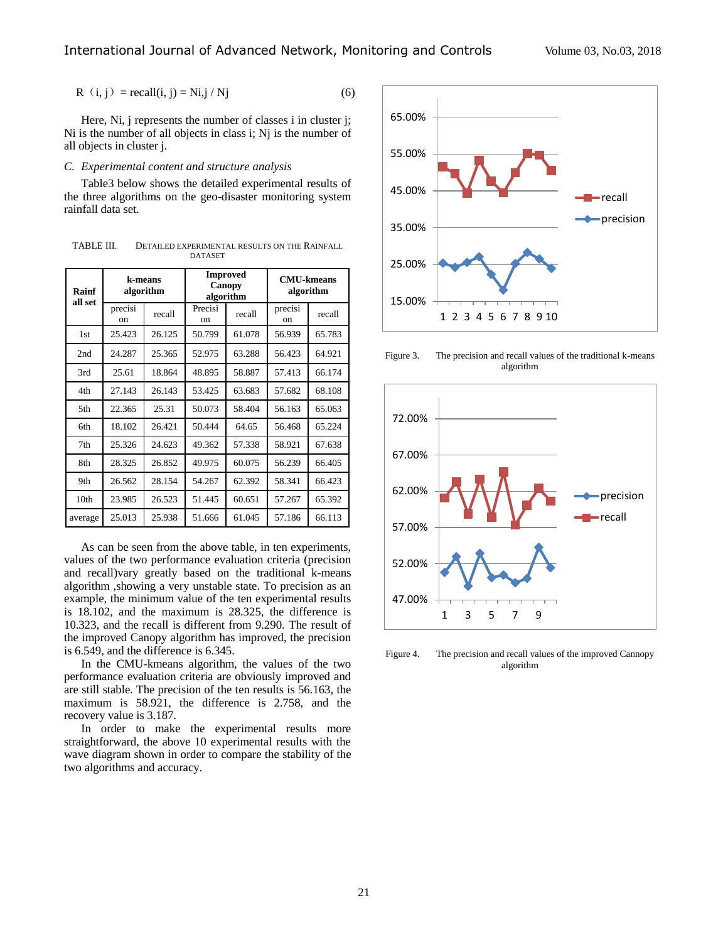$$
R(i, j) = recall(i, j) = Ni, j/Nj
$$
 (6)

Here, Ni, j represents the number of classes i in cluster j; Ni is the number of all objects in class i; Nj is the number of all objects in cluster j.

# *C. Experimental content and structure analysis*

Table3 below shows the detailed experimental results of the three algorithms on the geo-disaster monitoring system rainfall data set.

TABLE III. DETAILED EXPERIMENTAL RESULTS ON THE RAINFALL DATASET

| Rainf<br>all set                                         | k-means<br>algorithm |        | <b>Improved</b><br>Canopy<br>algorithm |        | <b>CMU-kmeans</b><br>algorithm |        |  |
|----------------------------------------------------------|----------------------|--------|----------------------------------------|--------|--------------------------------|--------|--|
|                                                          | precisi<br>on        | recall | Precisi<br>on                          | recall | precisi<br>on                  | recall |  |
| 1st                                                      | 25.423               | 26.125 | 50.799                                 | 61.078 | 56.939                         | 65.783 |  |
| 2nd                                                      | 24.287               | 25.365 | 52.975                                 | 63.288 | 56.423                         | 64.921 |  |
| 3rd                                                      | 25.61                | 18.864 | 48.895                                 | 58.887 | 57.413                         | 66.174 |  |
| 4th                                                      | 27.143               | 26.143 | 53.425                                 | 63.683 | 57.682                         | 68.108 |  |
| 5th                                                      | 22.365               | 25.31  | 50.073                                 | 58.404 | 56.163                         | 65.063 |  |
| 6th                                                      | 18.102               | 26.421 | 50.444                                 | 64.65  | 56.468                         | 65.224 |  |
| 7th                                                      | 25.326               | 24.623 | 49.362                                 | 57.338 | 58.921                         | 67.638 |  |
| 8th                                                      | 28.325               | 26.852 | 49.975                                 | 60.075 | 56.239                         | 66.405 |  |
| 9th                                                      | 26.562               | 28.154 | 54.267                                 | 62.392 | 58.341                         | 66.423 |  |
| 10th                                                     | 23.985               | 26.523 | 51.445                                 | 60.651 | 57.267                         | 65.392 |  |
| average                                                  | 25.013               | 25.938 | 51.666                                 | 61.045 | 57.186                         | 66.113 |  |
| As can be seen from the above table, in ten experiments, |                      |        |                                        |        |                                |        |  |

values of the two performance evaluation criteria (precision and recall)vary greatly based on the traditional k-means algorithm ,showing a very unstable state. To precision as an example, the minimum value of the ten experimental results is 18.102, and the maximum is 28.325, the difference is 10.323, and the recall is different from 9.290. The result of the improved Canopy algorithm has improved, the precision is 6.549, and the difference is 6.345.

In the CMU-kmeans algorithm, the values of the two performance evaluation criteria are obviously improved and are still stable. The precision of the ten results is 56.163, the maximum is 58.921, the difference is 2.758, and the recovery value is 3.187.

In order to make the experimental results more straightforward, the above 10 experimental results with the wave diagram shown in order to compare the stability of the two algorithms and accuracy.



Figure 3. The precision and recall values of the traditional k-means algorithm



Figure 4. The precision and recall values of the improved Cannopy algorithm